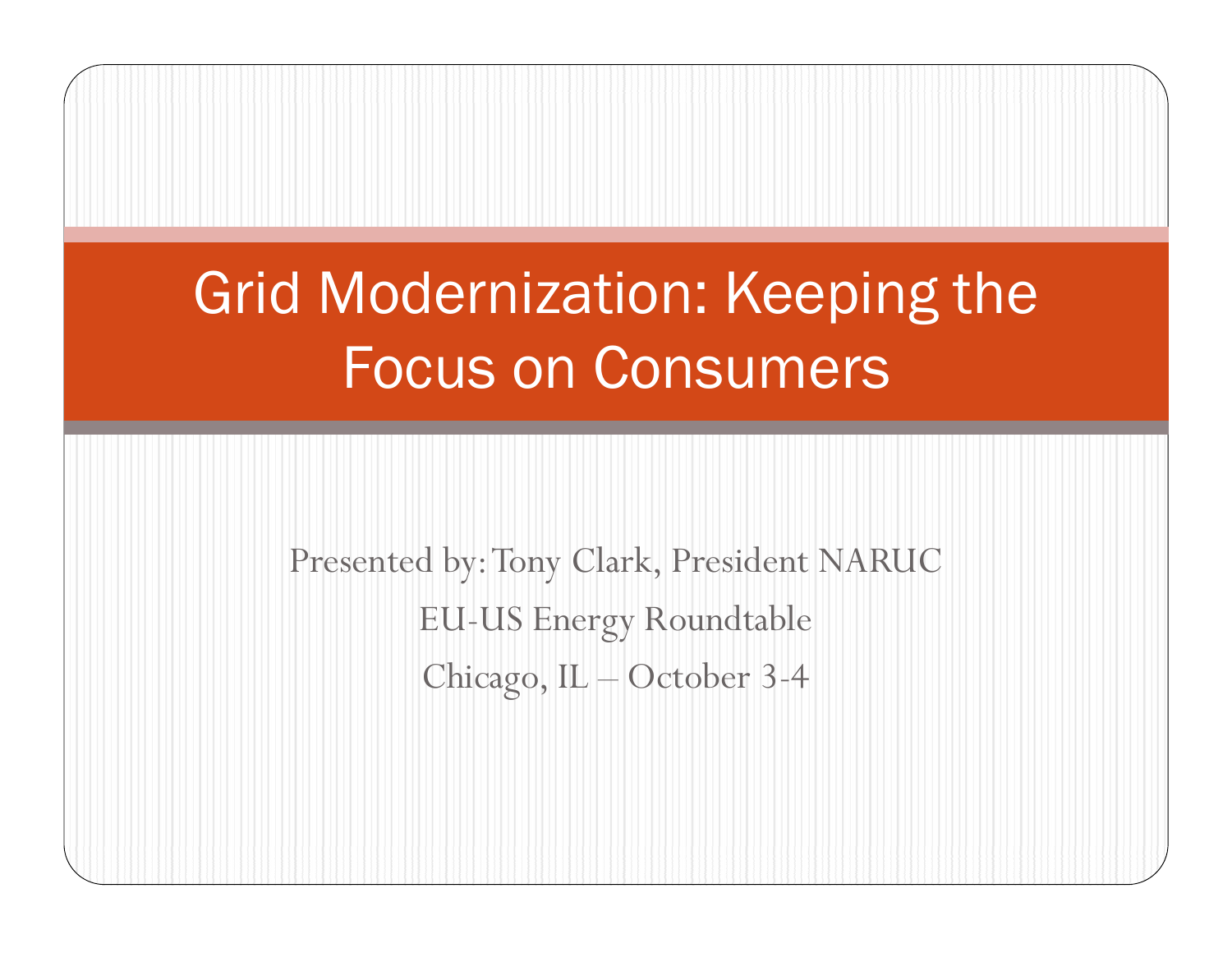# Grid Modernization: Keeping the Focus on Consumers

Presented by: Tony Clark, President NARUC EU-US Energy Roundtable Chicago, IL – October 3-4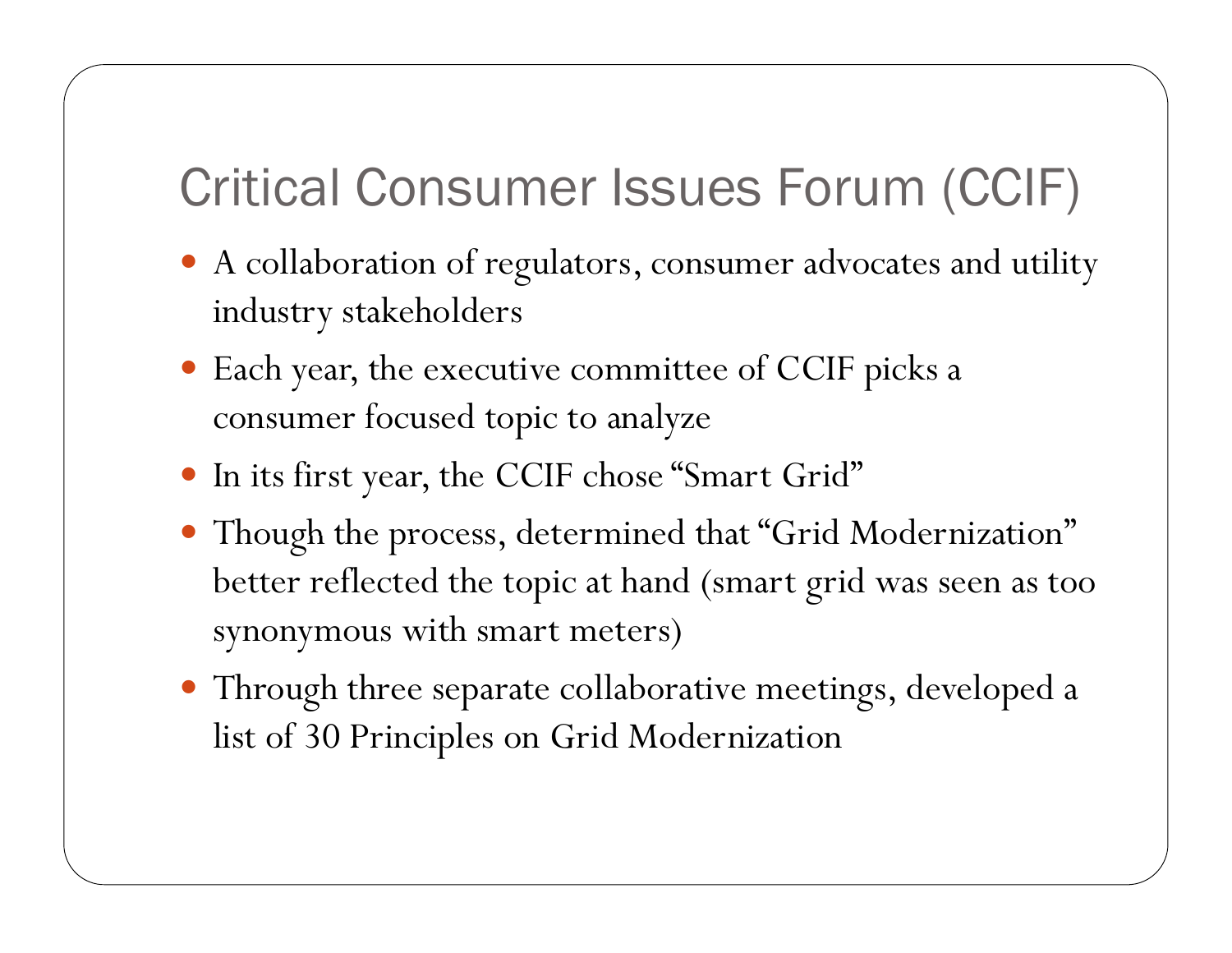#### Critical Consumer Issues Forum (CCIF)

- A collaboration of regulators, consumer advocates and utility industry stakeholders
- Each year, the executive committee of CCIF picks a consumer focused topic to analyze
- In its first year, the CCIF chose "Smart Grid"
- . Though the process, determined that "Grid Modernization" better reflected the topic at hand (smart grid was seen as too synonymous with smart meters)
- Through three separate collaborative meetings, developed a list of 30 Principles on Grid Modernization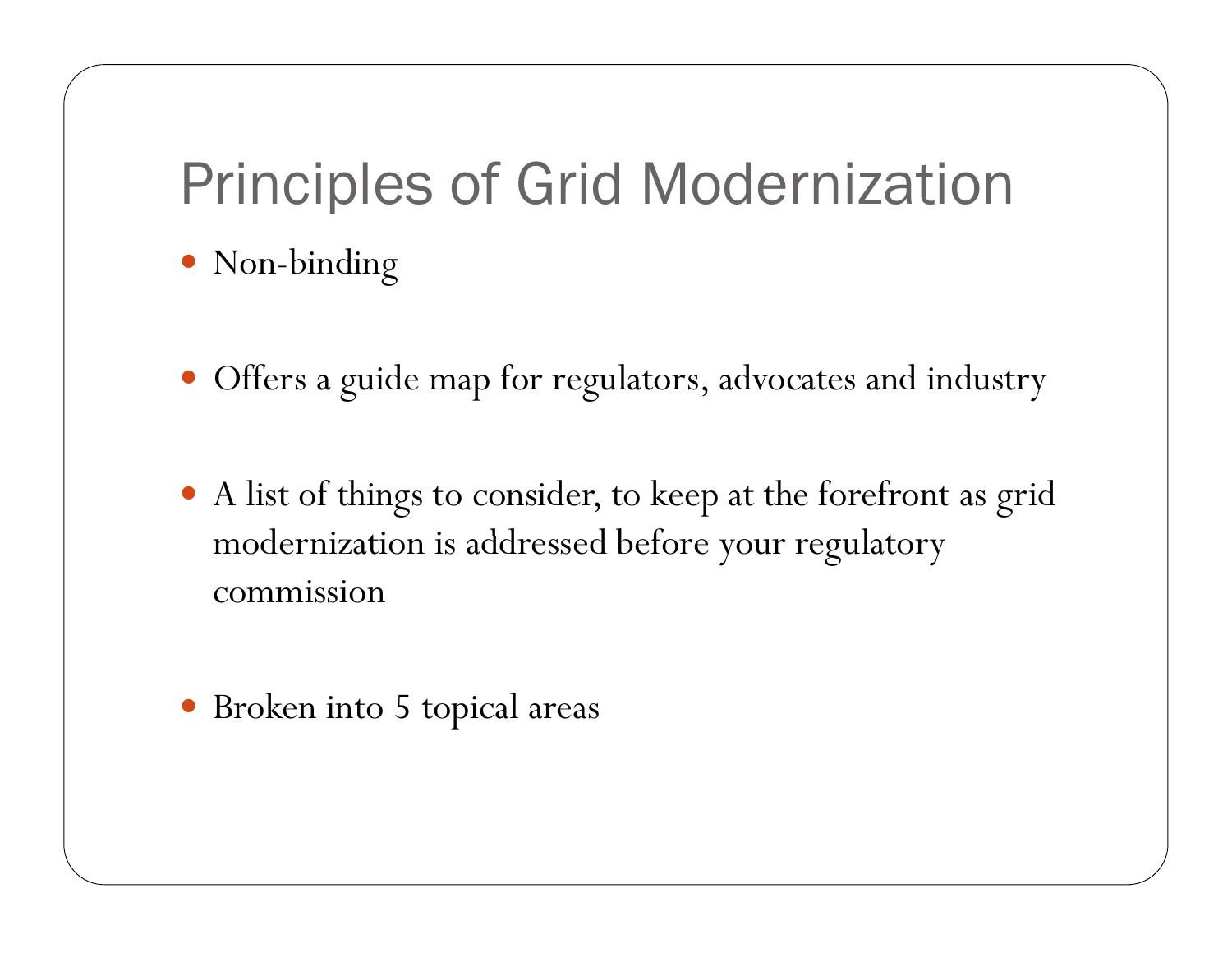### Principles of Grid Modernization

- Non-binding
- Offers a guide map for regulators, advocates and industry
- A list of things to consider, to keep at the forefront as grid modernization is addressed before your regulatory commission
- Broken into 5 topical areas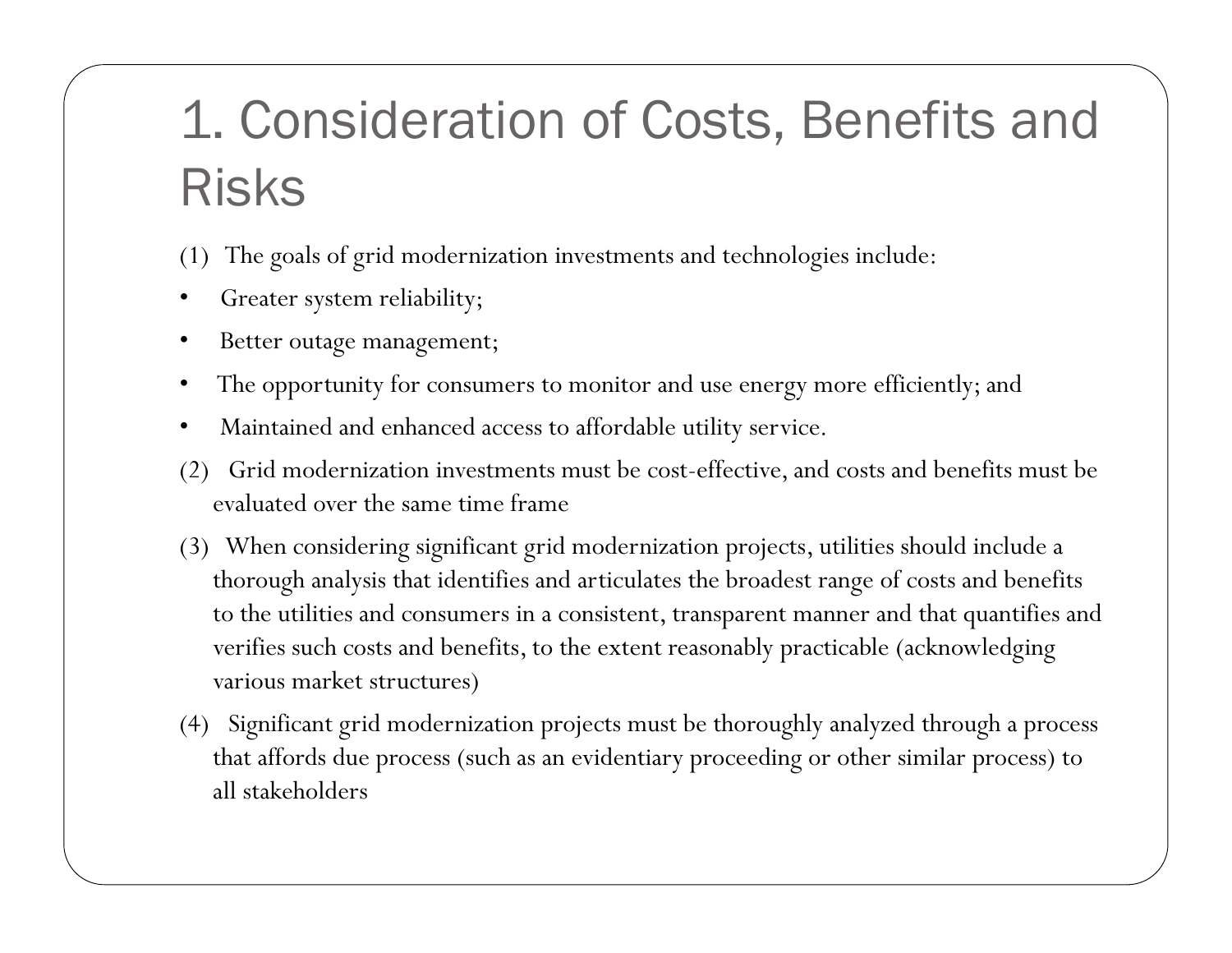#### 1. Consideration of Costs, Benefits and Risks

(1) The goals of grid modernization investments and technologies include:

- Greater system reliability;
- Better outage management;
- The opportunity for consumers to monitor and use energy more efficiently; and
- Maintained and enhanced access to affordable utility service.
- (2) Grid modernization investments must be cost-effective, and costs and benefits must be evaluated over the same time frame
- (3) When considering significant grid modernization projects, utilities should include a thorough analysis that identifies and articulates the broadest range of costs and benefits to the utilities and consumers in a consistent, transparent manner and that quantifies and verifies such costs and benefits, to the extent reasonably practicable (acknowledging various market structures)
- (4) Significant grid modernization projects must be thoroughly analyzed through a process that affords due process (such as an evidentiary proceeding or other similar process) to all stakeholders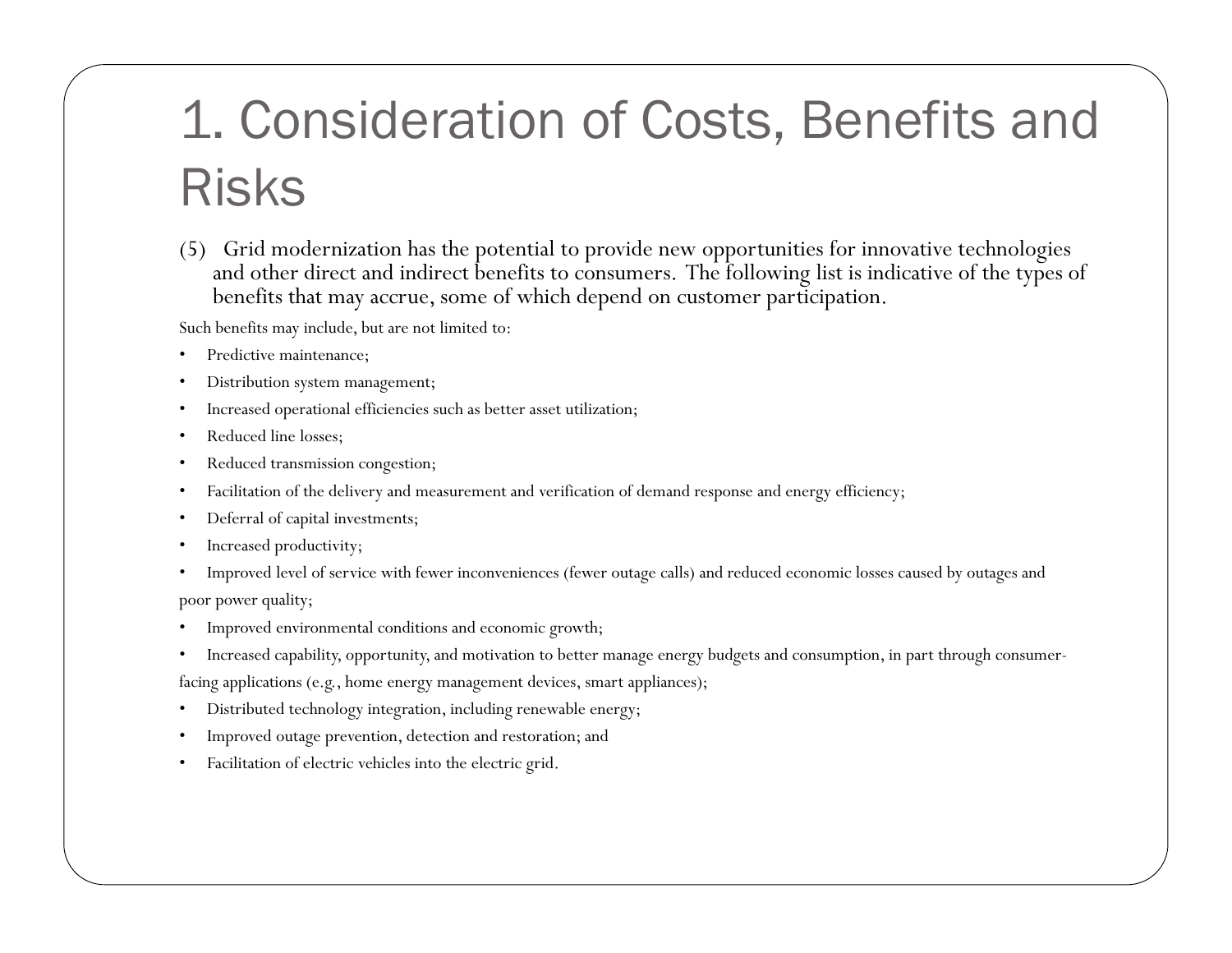### 1. Consideration of Costs, Benefits and Risks

(5) Grid modernization has the potential to provide new opportunities for innovative technologies and other direct and indirect benefits to consumers. The following list is indicative of the types of benefits that may accrue, some of which depend on customer participation.

Such benefits may include, but are not limited to:

- Predictive maintenance;
- Distribution system management;
- $\bullet$   $\;$  Increased operational efficiencies such as better asset utilization;
- Reduced line losses;
- Reduced transmission congestion;
- Facilitation of the delivery and measurement and verification of demand response and energy efficiency;
- Deferral of capital investments;
- Increased productivity;
- Improved level of service with fewer inconveniences (fewer outage calls) and reduced economic losses caused by outages an d poor power quality;
- Improved environmental conditions and economic growth;
- Increased capability, opportunity, and motivation to better manage energy budgets and consumption, in part through consumer-

facing applications (e.g., home energy management devices, smart appliances);

- Distributed technology integration, including renewable energy;
- Improved outage prevention, detection and restoration; and
- Facilitation of electric vehicles into the electric grid.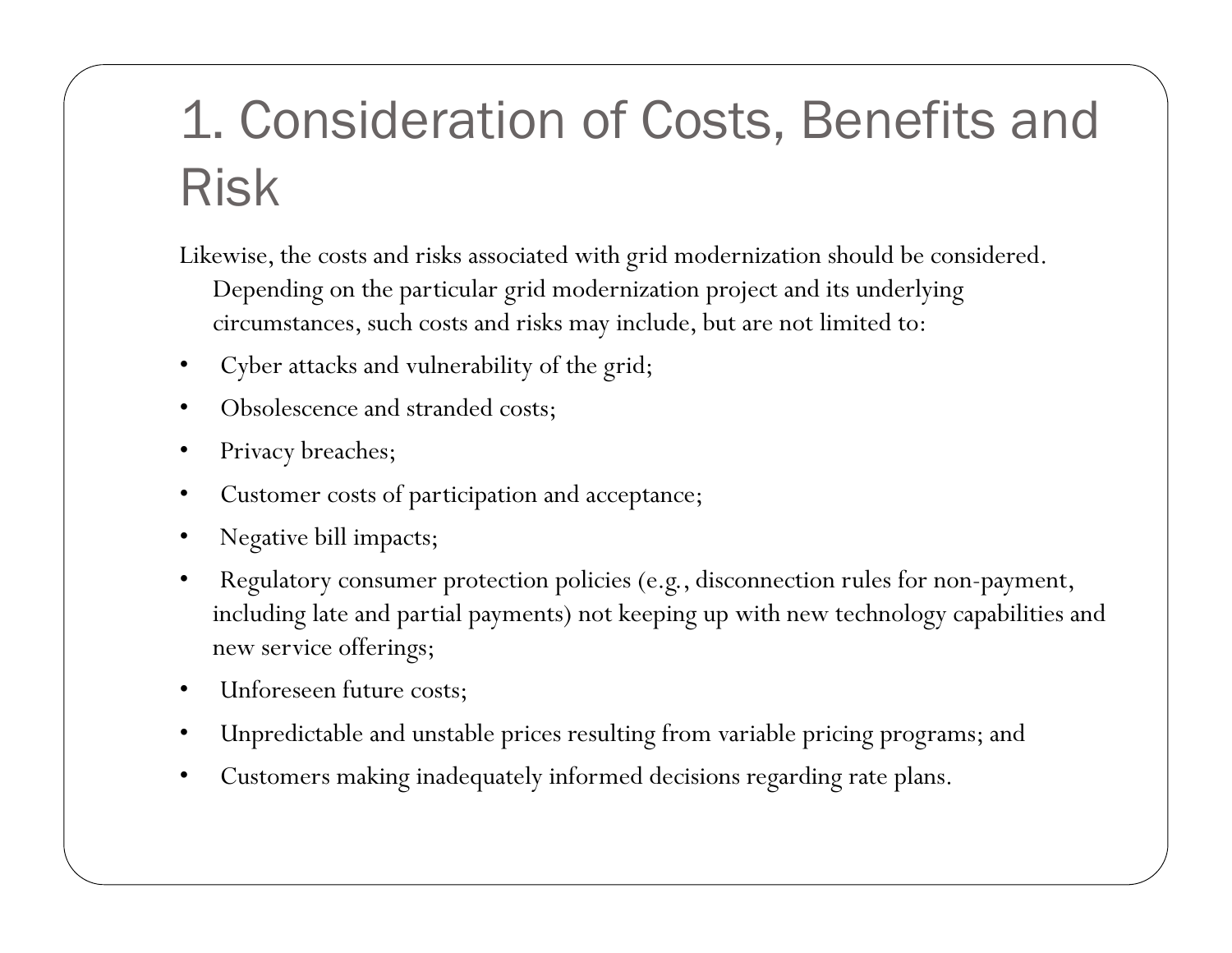# 1. Consideration of Costs, Benefits and Risk

Likewise, the costs and risks associated with grid modernization should be considered. Depending on the particular grid modernization project and its underlying circumstances, such costs and risks may include, but are not limited to:

- Cyber attacks and vulnerability of the grid;
- Obsolescence and stranded costs;
- Privacy breaches;
- Customer costs of participation and acceptance;
- Negative bill impacts;
- Regulatory consumer protection policies (e.g., disconnection rules for non-payment, including late and partial payments) not keeping up with new technology capabilities and new service offerings;
- Unforeseen future costs;
- Unpredictable and unstable prices resulting from variable pricing programs; and
- Customers making inadequately informed decisions regarding rate plans.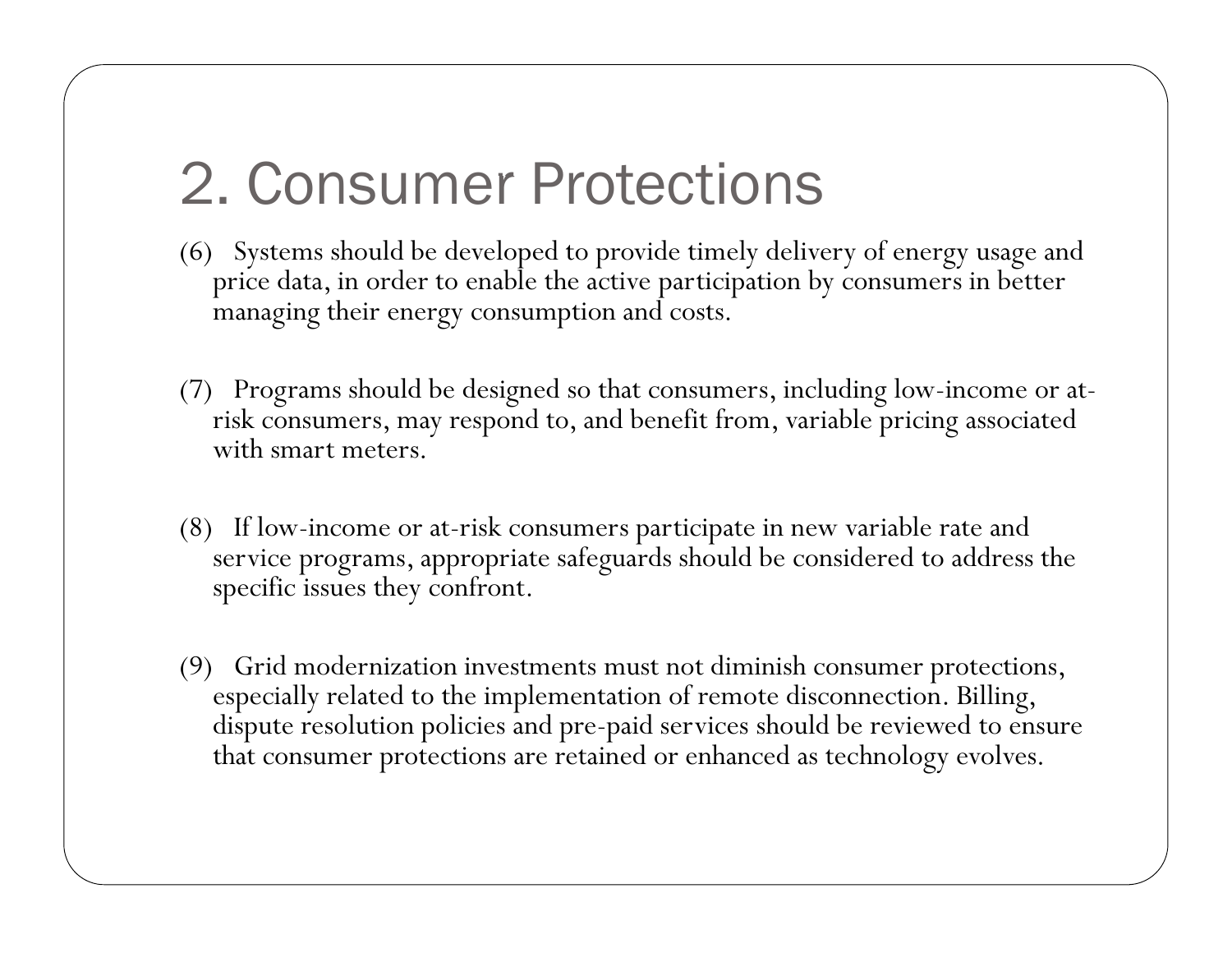# 2. Consumer Protections

- (6) Systems should be developed to provide timely delivery of energy usage and price data, in order to enable the active participation by consumers in better managing their energy consumption and costs.
- (7) Programs should be designed so that consumers, including low-income or at risk consumers, may respond to, and benefit from, variable pricing associated with smart meters.
- (8) If low-income or at-risk consumers participate in new variable rate and service programs, appropriate safeguards should be considered to address the specific issues they confront.
- (9) Grid modernization investments must not diminish consumer protections, especially related to the implementation of remote disconnection. Billing, dispute resolution policies and pre-paid services should be reviewed to ensure that consumer protections are retained or enhanced as technology evolves.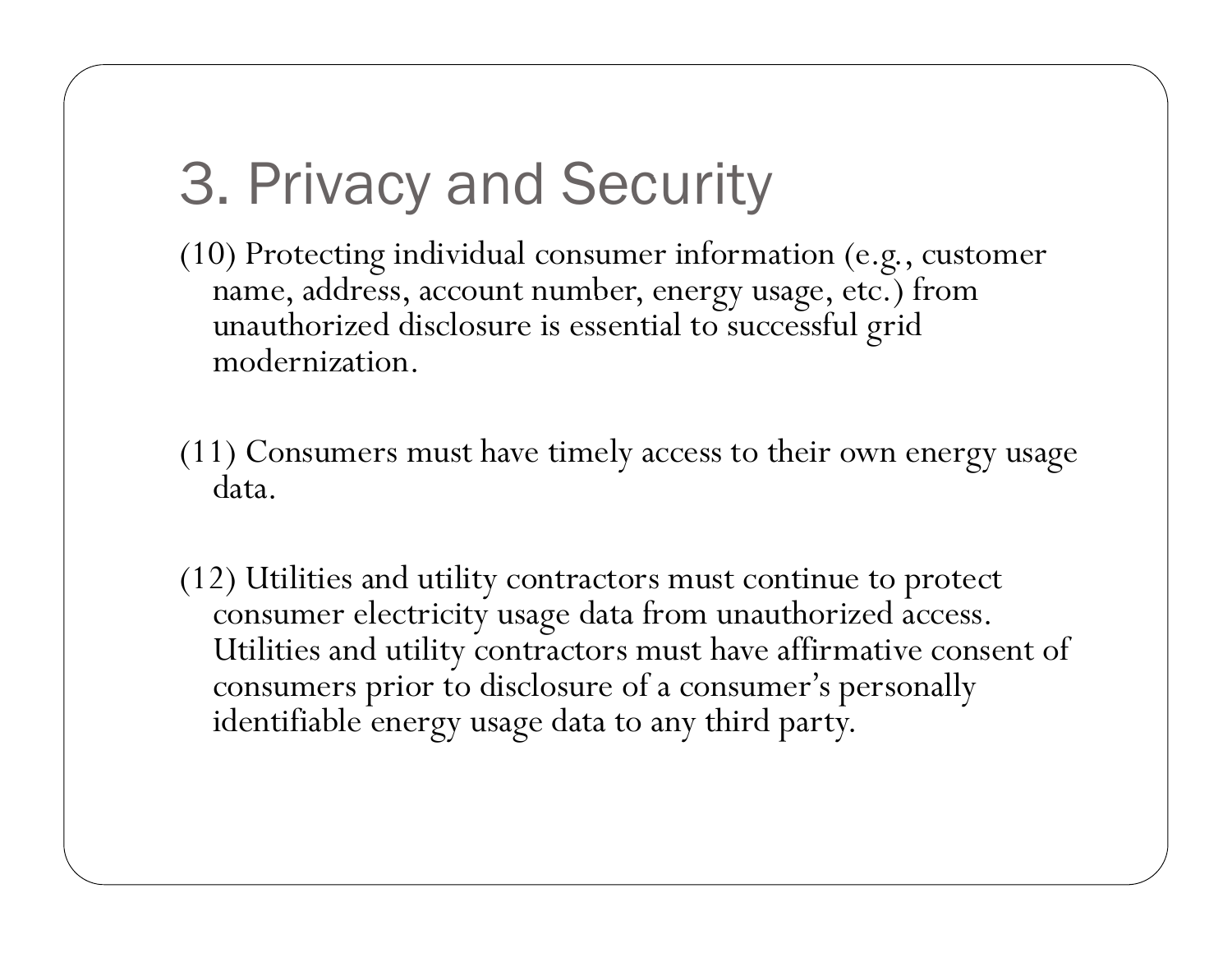# 3. Privacy and Security

(10) Protecting individual consumer information (e.g., customer name, address, account number, energy usage, etc.) from unauthorized disclosure is essential to successful grid modernization.

- (11) Consumers must have timely access to their own energy usage data.
- (12) Utilities and utility contractors must continue to protect consumer electricity usage data from unauthorized access. Utilities and utility contractors must have affirmative consent of consumers prior to disclosure of a consumer's personally identifiable energy usage data to any third party.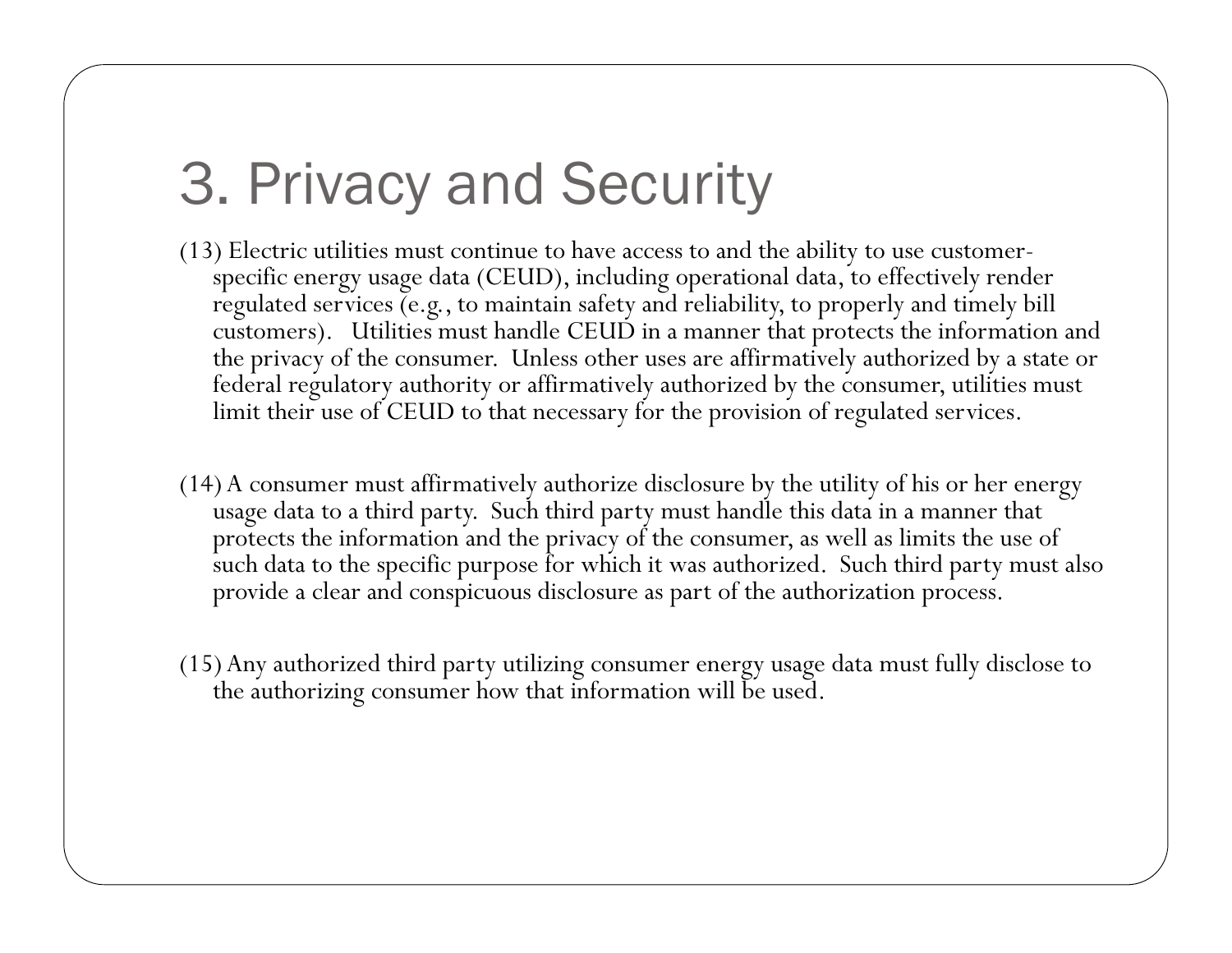# 3. Privacy and Security

- (13) Electric utilities must continue to have access to and the ability to use customerspecific energy usage data (CEUD), including operational data, to effectively render regulated services (e.g., to maintain safety and reliability, to properly and timely bill customers). Utilities must handle CEUD in a manner that protects the information and the privacy of the consumer. Unless other uses are affirmatively authorized by a state or federal regulatory authority or affirmatively authorized by the consumer, utilities must limit their use of CEUD to that necessary for the provision of regulated services.
- (14) A consumer must affirmatively authorize disclosure by the utility of his or her energy usage data to a third party. Such third party must handle this data in a manner that protects the information and the privacy of the consumer, as well as limits the use of such data to the specific purpose for which it was authorized. Such third party must also provide a clear and conspicuous disclosure as part of the authorization process.
- (15) Any authorized third party utilizing consumer energy usage data must fully disclose to the authorizing consumer how that information will be used.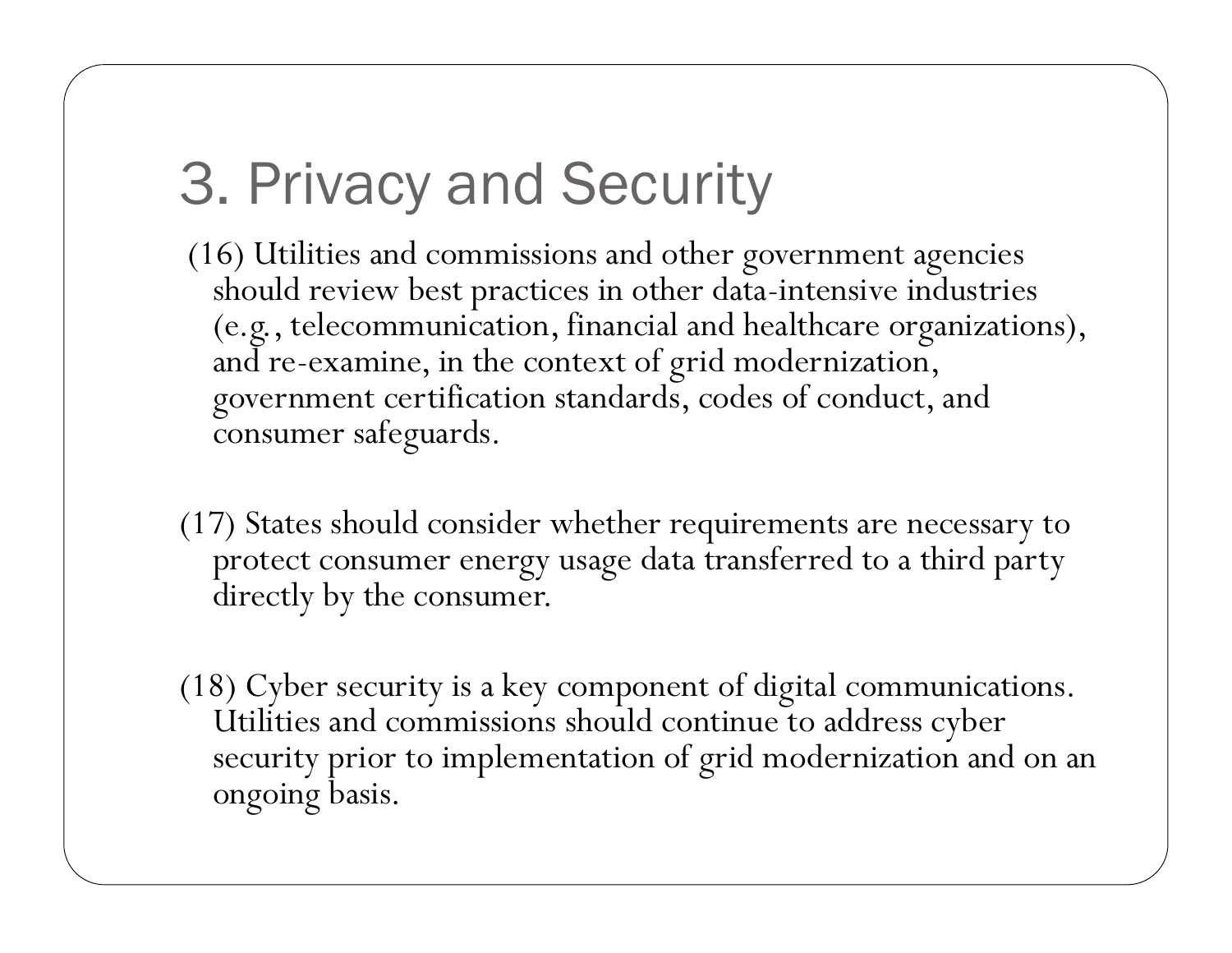# 3. Privacy and Security

- (16) Utilities and commissions and other government agencies should review best practices in other data -intensive industries (e.g., telecommunication, financial and healthcare organizations), and re-examine, in the context of grid modernization, government certification standards, codes of conduct, and consumer safeguards.
- (17) States should consider whether requirements are necessary to protect consumer energy usage data transferred to a third party directly by the consumer.
- (18) Cyber security is a key component of digital communications. Utilities and commissions should continue to address cyber security prior to implementation of grid modernization and on an ongoing basis.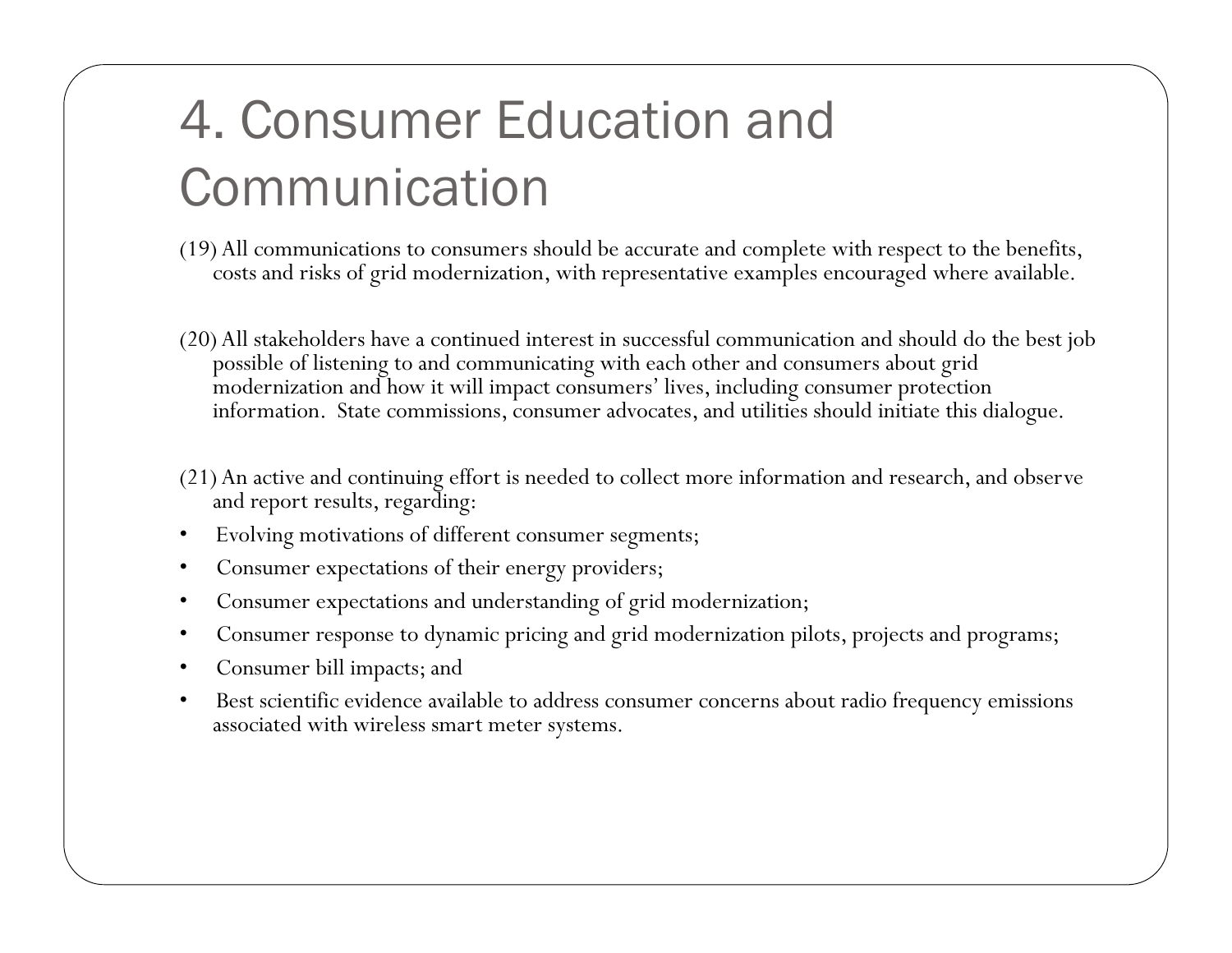## 4. Consumer Education and Communication

- (19) All communications to consumers should be accurate and complete with respect to the benefits, costs and risks of grid modernization, with representative examples encouraged where available.
- (20) All stakeholders have a continued interest in successful communication and should do the best job possible of listening to and communicating with each other and consumers about grid modernization and how it will impact consumers' lives, including consumer protection information. State commissions, consumer advocates, and utilities should initiate this dialogue.
- (21) An active and continuing effort is needed to collect more information and research, and observe and report results, regarding:
- Evolving motivations of different consumer segments;
- Consumer expectations of their energy providers;
- Consumer expectations and understanding of grid modernization;
- Consumer response to dynamic pricing and grid modernization pilots, projects and programs;
- Consumer bill impacts; and
- Best scientific evidence available to address consumer concerns about radio frequency emissions associated with wireless smart meter systems.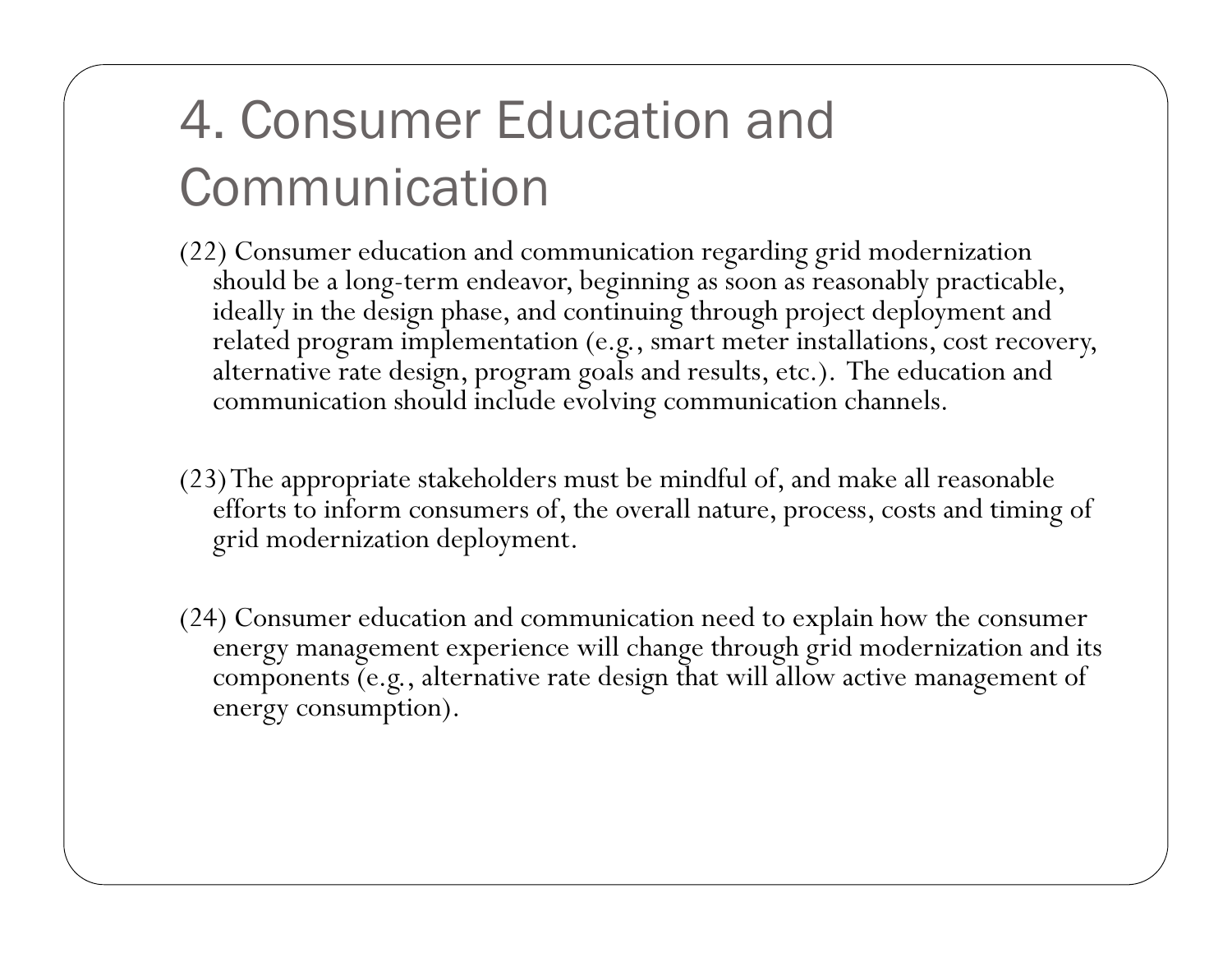### 4. Consumer Education and Communication

- (22) Consumer education and communication regarding grid modernization should be a long-term endeavor, beginning as soon as reasonably practicable, ideally in the design phase, and continuing through project deployment and related program implementation (e.g., smart meter installations, cost recovery, alternative rate design, program goals and results, etc.). The education and communication should include evolvin g communication channels.
- (23) The appropriate stakeholders must be mindful of, and make all reasonable efforts to inform consumers of, the overall nature, process, costs and timing of grid modernization deployment.
- (24) Consumer education and communication need to explain how the consumer energy management experience will change through grid modernization and its components (e.g., alternative rate design that will allow active management of energy consumption).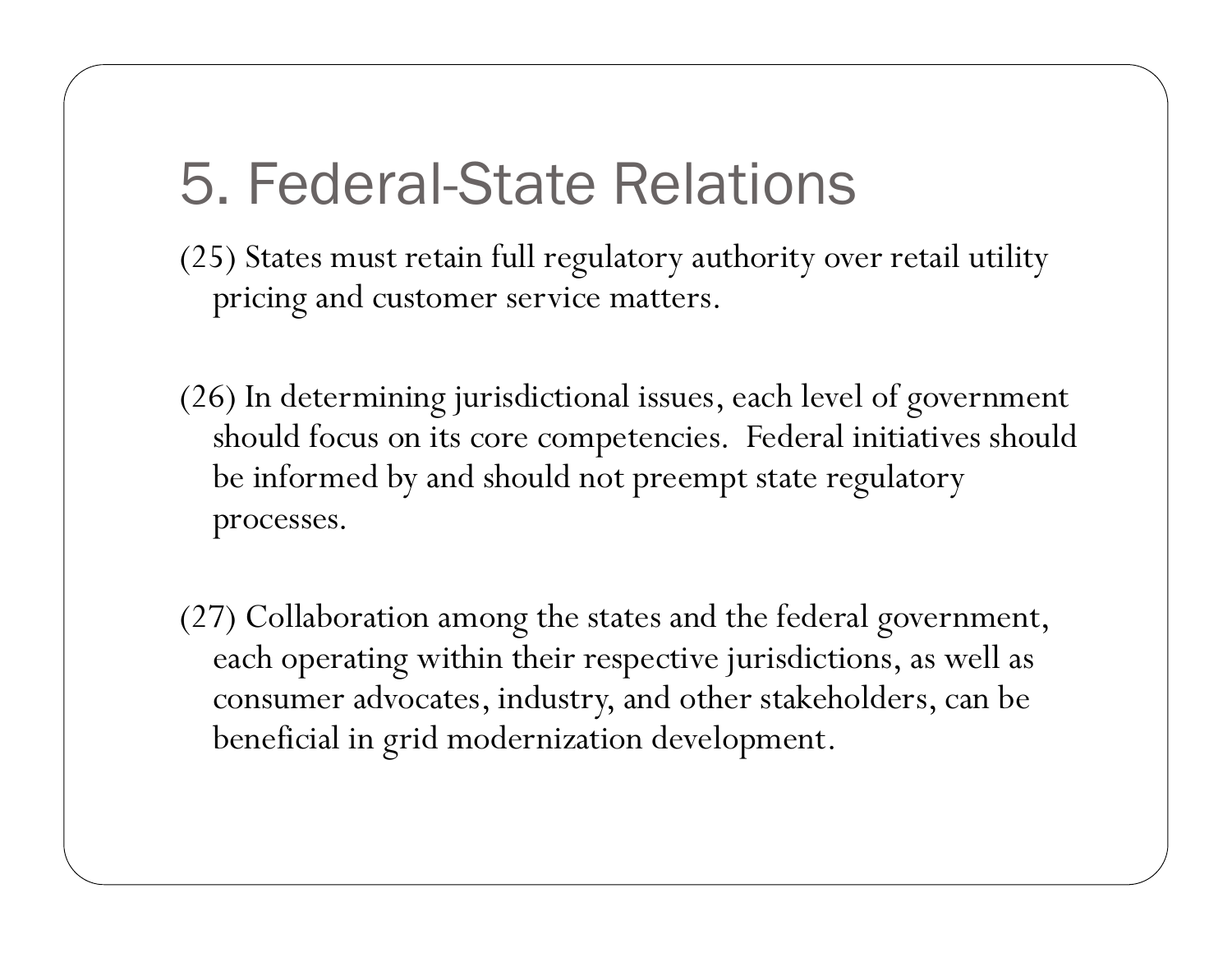#### **5. Federal-State Relations**

- (25) States must retain full regulatory authority over retail utility pricing and customer service matters.
- (26) In determining jurisdictional issues, each level of government should focus on its core competencies. Federal initiatives should be informed by and should not preempt state regulatory processes.
- (27) Collaboration among the states and the federal government, each operating within their respective jurisdictions, as well as consumer advocates, industry, and other stakeholders, can be beneficial in grid modernization development.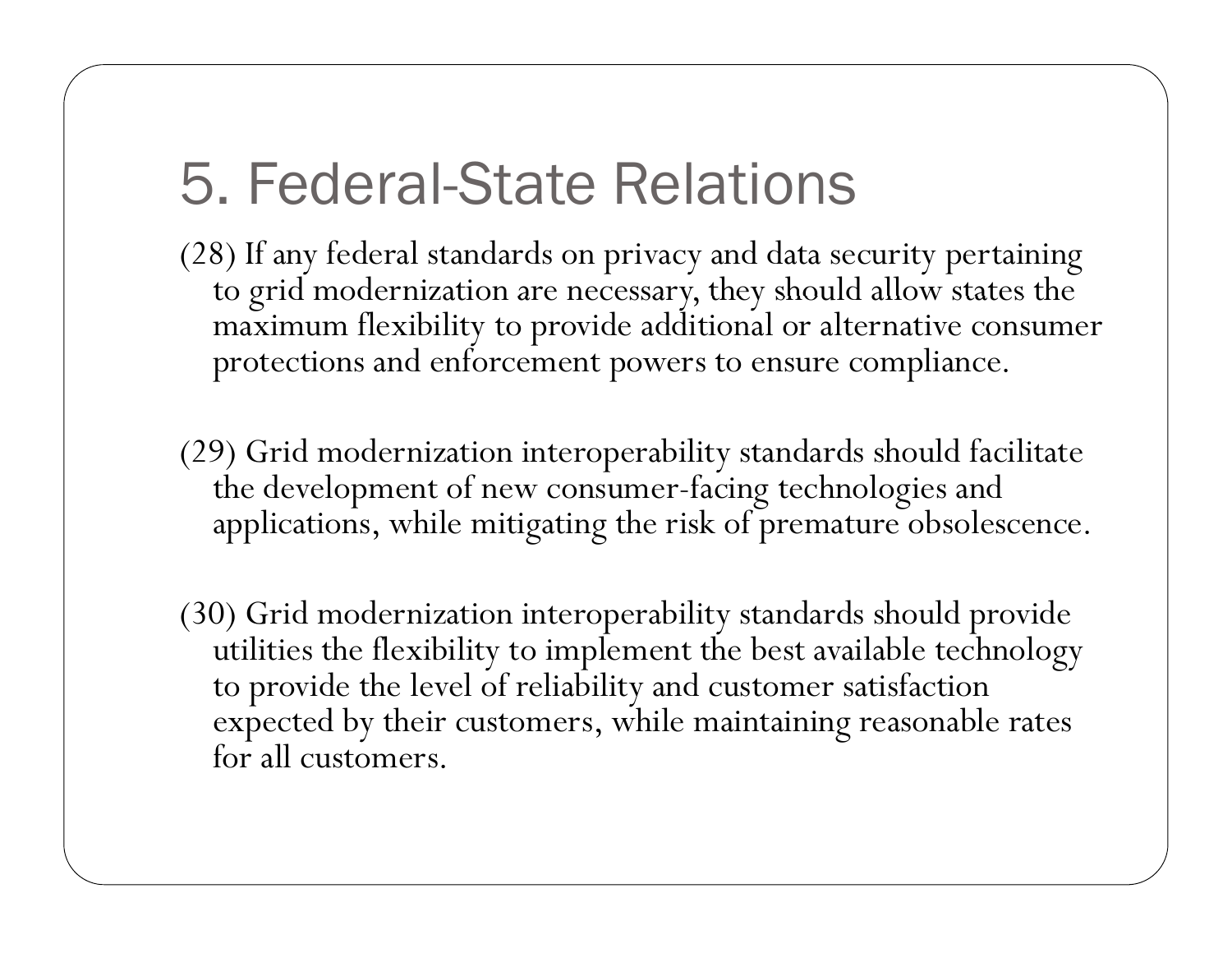#### 5. Federal-State Relations

(28) If any federal standards on privacy and data security pertaining to grid modernization are necessary, they should allow states the maximum flexibility to provide additional or alternative consumer protections and enforcement powers to ensure compliance.

- (29) Grid modernization interoperability standards should facilitate the development of new consumer-facing technologies and applications, while mitigating the risk of premature obsolescence.
- (30) Grid modernization interoperability standards should provide utilities the flexibility to implement the best available technology to provide the level of reliability and customer satisfaction expected by their customers, while maintaining reasonable rates for all customers.